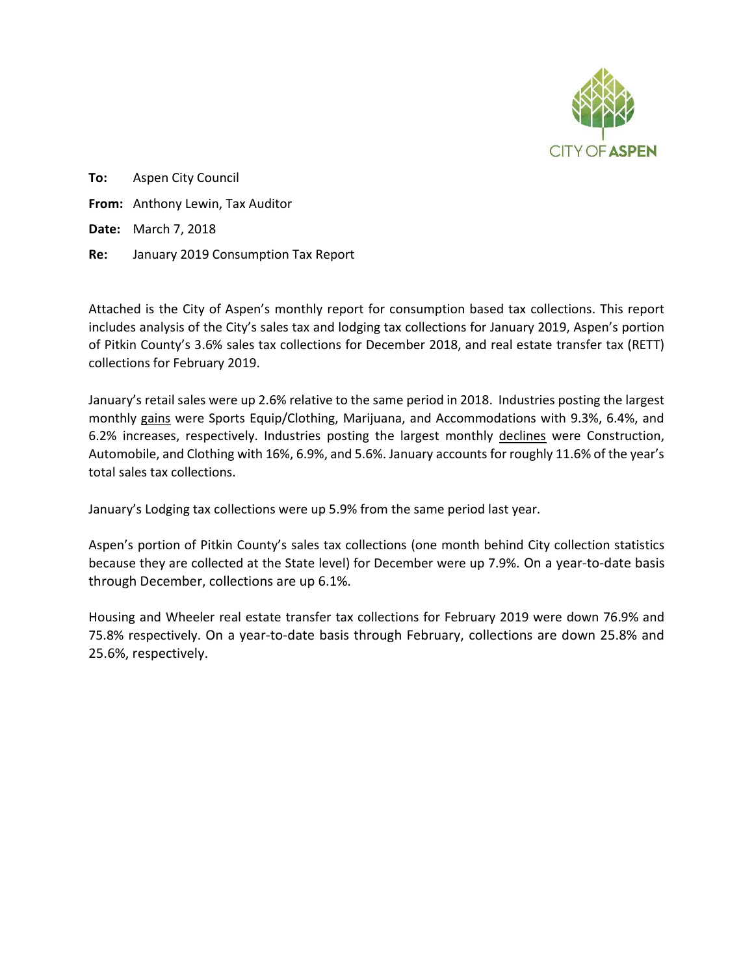

To: Aspen City Council From: Anthony Lewin, Tax Auditor Date: March 7, 2018 Re: January 2019 Consumption Tax Report

Attached is the City of Aspen's monthly report for consumption based tax collections. This report includes analysis of the City's sales tax and lodging tax collections for January 2019, Aspen's portion of Pitkin County's 3.6% sales tax collections for December 2018, and real estate transfer tax (RETT) collections for February 2019.

January's retail sales were up 2.6% relative to the same period in 2018. Industries posting the largest monthly gains were Sports Equip/Clothing, Marijuana, and Accommodations with 9.3%, 6.4%, and 6.2% increases, respectively. Industries posting the largest monthly declines were Construction, Automobile, and Clothing with 16%, 6.9%, and 5.6%. January accounts for roughly 11.6% of the year's total sales tax collections.

January's Lodging tax collections were up 5.9% from the same period last year.

Aspen's portion of Pitkin County's sales tax collections (one month behind City collection statistics because they are collected at the State level) for December were up 7.9%. On a year-to-date basis through December, collections are up 6.1%.

Housing and Wheeler real estate transfer tax collections for February 2019 were down 76.9% and 75.8% respectively. On a year-to-date basis through February, collections are down 25.8% and 25.6%, respectively.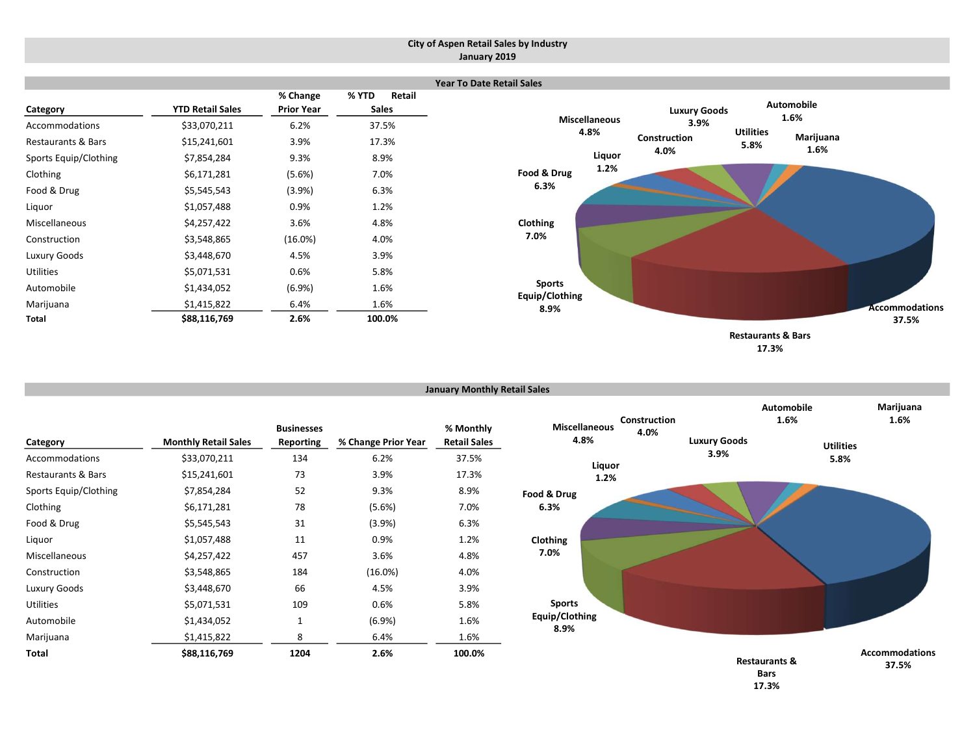#### City of Aspen Retail Sales by Industry January 2019

|                               |                         |                   |                        | Yea |
|-------------------------------|-------------------------|-------------------|------------------------|-----|
|                               |                         | % Change          | % YTD<br><b>Retail</b> |     |
| Category                      | <b>YTD Retail Sales</b> | <b>Prior Year</b> | <b>Sales</b>           |     |
| Accommodations                | \$33,070,211            | 6.2%              | 37.5%                  |     |
| <b>Restaurants &amp; Bars</b> | \$15,241,601            | 3.9%              | 17.3%                  |     |
| Sports Equip/Clothing         | \$7,854,284             | 9.3%              | 8.9%                   |     |
| Clothing                      | \$6,171,281             | (5.6%)            | 7.0%                   |     |
| Food & Drug                   | \$5,545,543             | (3.9%)            | 6.3%                   |     |
| Liquor                        | \$1,057,488             | 0.9%              | 1.2%                   |     |
| Miscellaneous                 | \$4,257,422             | 3.6%              | 4.8%                   |     |
| Construction                  | \$3,548,865             | $(16.0\%)$        | 4.0%                   |     |
| Luxury Goods                  | \$3,448,670             | 4.5%              | 3.9%                   |     |
| <b>Utilities</b>              | \$5,071,531             | 0.6%              | 5.8%                   |     |
| Automobile                    | \$1,434,052             | (6.9%)            | 1.6%                   |     |
| Marijuana                     | \$1,415,822             | 6.4%              | 1.6%                   |     |
| Total                         | \$88,116,769            | 2.6%              | 100.0%                 |     |



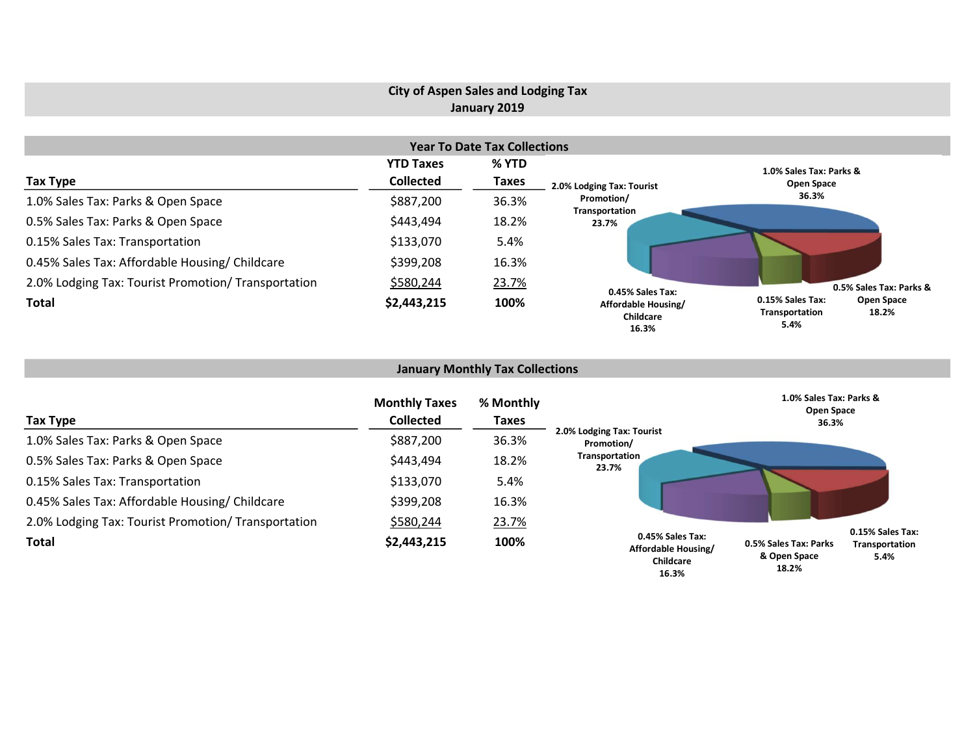## City of Aspen Sales and Lodging Tax January 2019

|                                                     |                  | <b>Year To Date Tax Collections</b> |                                           |                                                                   |  |
|-----------------------------------------------------|------------------|-------------------------------------|-------------------------------------------|-------------------------------------------------------------------|--|
|                                                     | <b>YTD Taxes</b> | % YTD                               |                                           | 1.0% Sales Tax: Parks &                                           |  |
| Tax Type                                            | <b>Collected</b> | Taxes                               | 2.0% Lodging Tax: Tourist                 | Open Space                                                        |  |
| 1.0% Sales Tax: Parks & Open Space                  | \$887,200        | 36.3%                               | Promotion/                                | 36.3%                                                             |  |
| 0.5% Sales Tax: Parks & Open Space                  | \$443,494        | 18.2%                               | Transportation<br>23.7%                   |                                                                   |  |
| 0.15% Sales Tax: Transportation                     | \$133,070        | 5.4%                                |                                           |                                                                   |  |
| 0.45% Sales Tax: Affordable Housing/ Childcare      | \$399,208        | 16.3%                               |                                           |                                                                   |  |
| 2.0% Lodging Tax: Tourist Promotion/ Transportation | \$580,244        | 23.7%                               | 0.45% Sales Tax:                          | 0.5% Sales Tax: Parks &                                           |  |
| <b>Total</b>                                        | \$2,443,215      | 100%                                | Affordable Housing/<br>Childcare<br>16.3% | 0.15% Sales Tax:<br>Open Space<br>18.2%<br>Transportation<br>5.4% |  |

## January Monthly Tax Collections

| Tax Type                                            | <b>Monthly Taxes</b><br><b>Collected</b> | % Monthly<br>Taxes |                                                               | 1.0% Sales Tax: Parks &<br>Open Space<br>36.3% |                                            |
|-----------------------------------------------------|------------------------------------------|--------------------|---------------------------------------------------------------|------------------------------------------------|--------------------------------------------|
| 1.0% Sales Tax: Parks & Open Space                  | \$887,200                                | 36.3%              | 2.0% Lodging Tax: Tourist<br>Promotion/                       |                                                |                                            |
| 0.5% Sales Tax: Parks & Open Space                  | \$443,494                                | 18.2%              | Transportation<br>23.7%                                       |                                                |                                            |
| 0.15% Sales Tax: Transportation                     | \$133,070                                | 5.4%               |                                                               |                                                |                                            |
| 0.45% Sales Tax: Affordable Housing/ Childcare      | \$399,208                                | 16.3%              |                                                               |                                                |                                            |
| 2.0% Lodging Tax: Tourist Promotion/ Transportation | \$580,244                                | 23.7%              |                                                               |                                                |                                            |
| <b>Total</b>                                        | \$2,443,215                              | 100%               | 0.45% Sales Tax:<br>Affordable Housing/<br>Childcare<br>16.3% | 0.5% Sales Tax: Parks<br>& Open Space<br>18.2% | 0.15% Sales Tax:<br>Transportation<br>5.4% |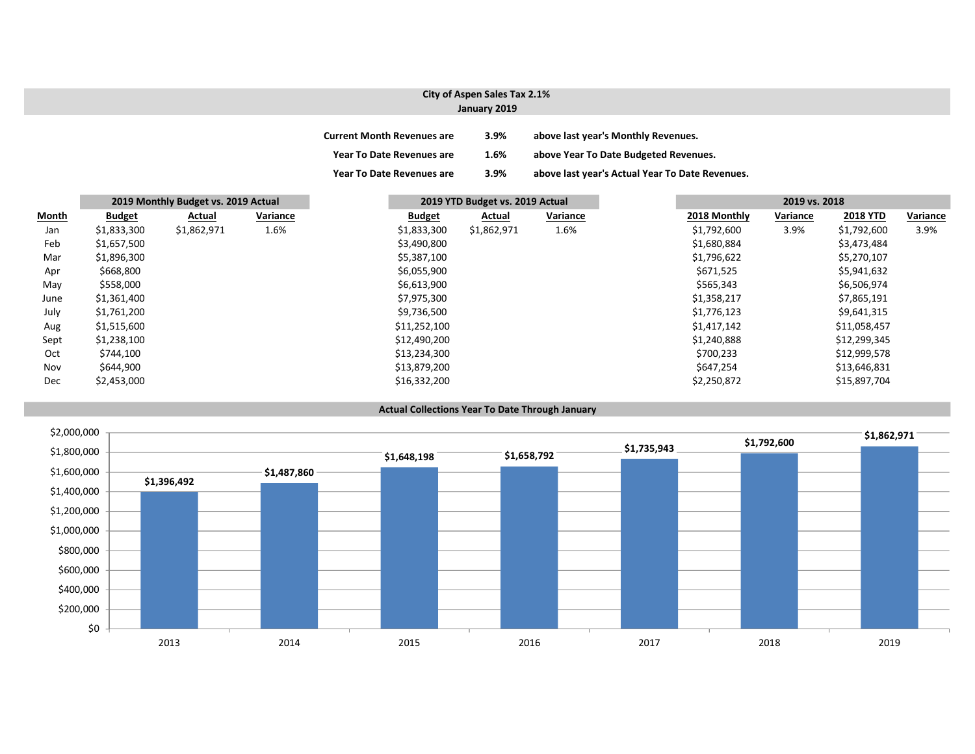### City of Aspen Sales Tax 2.1% January 2019

| <b>Current Month Revenues are</b> | 3.9%    | above last year's Monthly Revenues.             |
|-----------------------------------|---------|-------------------------------------------------|
| <b>Year To Date Revenues are</b>  | 1.6%    | above Year To Date Budgeted Revenues.           |
| <b>Year To Date Revenues are</b>  | $3.9\%$ | above last year's Actual Year To Date Revenues. |

|       |               | 2019 Monthly Budget vs. 2019 Actual |          |               | 2019 YTD Budget vs. 2019 Actual |          |              | 2019 vs. 2018 |                 |          |
|-------|---------------|-------------------------------------|----------|---------------|---------------------------------|----------|--------------|---------------|-----------------|----------|
| Month | <b>Budget</b> | Actual                              | Variance | <b>Budget</b> | Actual                          | Variance | 2018 Monthly | Variance      | <b>2018 YTD</b> | Variance |
| Jan   | \$1,833,300   | \$1,862,971                         | 1.6%     | \$1,833,300   | \$1,862,971                     | 1.6%     | \$1,792,600  | 3.9%          | \$1,792,600     | 3.9%     |
| Feb   | \$1,657,500   |                                     |          | \$3,490,800   |                                 |          | \$1,680,884  |               | \$3,473,484     |          |
| Mar   | \$1,896,300   |                                     |          | \$5,387,100   |                                 |          | \$1,796,622  |               | \$5,270,107     |          |
| Apr   | \$668,800     |                                     |          | \$6,055,900   |                                 |          | \$671,525    |               | \$5,941,632     |          |
| May   | \$558,000     |                                     |          | \$6,613,900   |                                 |          | \$565,343    |               | \$6,506,974     |          |
| June  | \$1,361,400   |                                     |          | \$7,975,300   |                                 |          | \$1,358,217  |               | \$7,865,191     |          |
| July  | \$1,761,200   |                                     |          | \$9,736,500   |                                 |          | \$1,776,123  |               | \$9,641,315     |          |
| Aug   | \$1,515,600   |                                     |          | \$11,252,100  |                                 |          | \$1,417,142  |               | \$11,058,457    |          |
| Sept  | \$1,238,100   |                                     |          | \$12,490,200  |                                 |          | \$1,240,888  |               | \$12,299,345    |          |
| Oct   | \$744,100     |                                     |          | \$13,234,300  |                                 |          | \$700,233    |               | \$12,999,578    |          |
| Nov   | \$644,900     |                                     |          | \$13,879,200  |                                 |          | \$647,254    |               | \$13,646,831    |          |
| Dec   | \$2,453,000   |                                     |          | \$16,332,200  |                                 |          | \$2,250,872  |               | \$15,897,704    |          |

#### Actual Collections Year To Date Through January

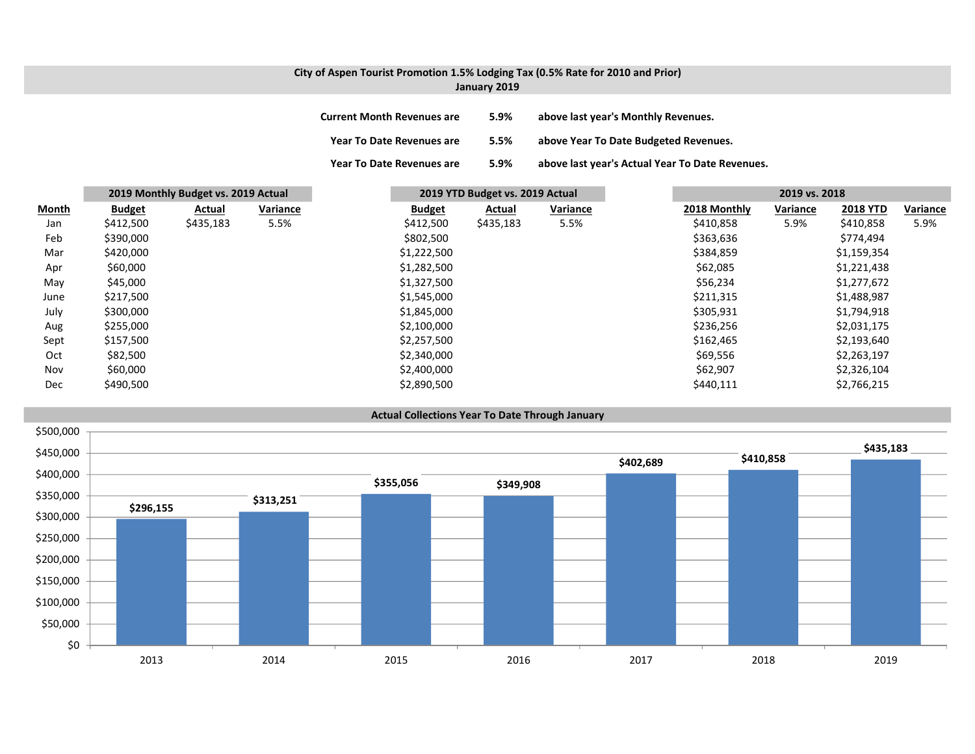# City of Aspen Tourist Promotion 1.5% Lodging Tax (0.5% Rate for 2010 and Prior)

| January 2019 |  |
|--------------|--|
|--------------|--|

| <b>Current Month Revenues are</b> | 5.9% | above last year's Monthly Revenues.             |
|-----------------------------------|------|-------------------------------------------------|
| <b>Year To Date Revenues are</b>  | 5.5% | above Year To Date Budgeted Revenues.           |
| <b>Year To Date Revenues are</b>  | 5.9% | above last year's Actual Year To Date Revenues. |

|              |               | 2019 Monthly Budget vs. 2019 Actual |          |               | 2019 YTD Budget vs. 2019 Actual |          |              | 2019 vs. 2018 |                 |          |
|--------------|---------------|-------------------------------------|----------|---------------|---------------------------------|----------|--------------|---------------|-----------------|----------|
| <b>Month</b> | <b>Budget</b> | Actual                              | Variance | <b>Budget</b> | Actual                          | Variance | 2018 Monthly | Variance      | <b>2018 YTD</b> | Variance |
| Jan          | \$412,500     | \$435,183                           | 5.5%     | \$412,500     | \$435,183                       | 5.5%     | \$410,858    | 5.9%          | \$410,858       | 5.9%     |
| Feb          | \$390,000     |                                     |          | \$802,500     |                                 |          | \$363,636    |               | \$774,494       |          |
| Mar          | \$420,000     |                                     |          | \$1,222,500   |                                 |          | \$384,859    |               | \$1,159,354     |          |
| Apr          | \$60,000      |                                     |          | \$1,282,500   |                                 |          | \$62,085     |               | \$1,221,438     |          |
| May          | \$45,000      |                                     |          | \$1,327,500   |                                 |          | \$56,234     |               | \$1,277,672     |          |
| June         | \$217,500     |                                     |          | \$1,545,000   |                                 |          | \$211,315    |               | \$1,488,987     |          |
| July         | \$300,000     |                                     |          | \$1,845,000   |                                 |          | \$305,931    |               | \$1,794,918     |          |
| Aug          | \$255,000     |                                     |          | \$2,100,000   |                                 |          | \$236,256    |               | \$2,031,175     |          |
| Sept         | \$157,500     |                                     |          | \$2,257,500   |                                 |          | \$162,465    |               | \$2,193,640     |          |
| Oct          | \$82,500      |                                     |          | \$2,340,000   |                                 |          | \$69,556     |               | \$2,263,197     |          |
| Nov          | \$60,000      |                                     |          | \$2,400,000   |                                 |          | \$62,907     |               | \$2,326,104     |          |
| Dec          | \$490,500     |                                     |          | \$2,890,500   |                                 |          | \$440,111    |               | \$2,766,215     |          |

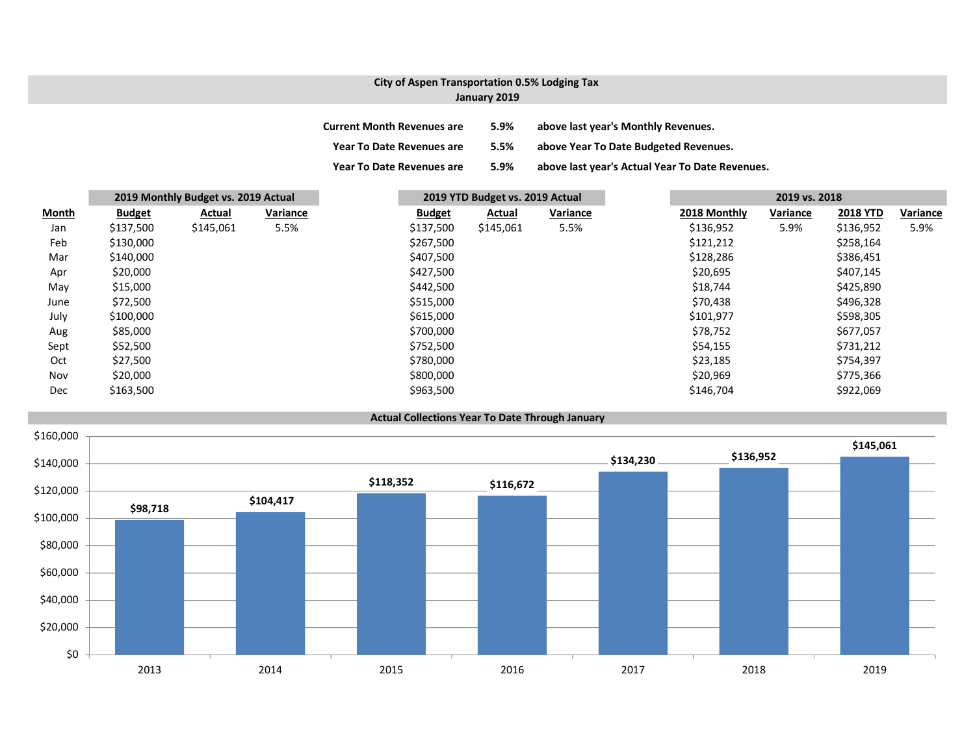#### City of Aspen Transportation 0.5% Lodging Tax January 2019

| <b>Current Month Revenues are</b> | 5.9% | above last year's Monthly Revenues.             |
|-----------------------------------|------|-------------------------------------------------|
| <b>Year To Date Revenues are</b>  | 5.5% | above Year To Date Budgeted Revenues.           |
| <b>Year To Date Revenues are</b>  | 5.9% | above last year's Actual Year To Date Revenues. |

|       |               | 2019 Monthly Budget vs. 2019 Actual |          |               | 2019 YTD Budget vs. 2019 Actual |          |              | 2019 vs. 2018 |                 |          |
|-------|---------------|-------------------------------------|----------|---------------|---------------------------------|----------|--------------|---------------|-----------------|----------|
| Month | <b>Budget</b> | Actual                              | Variance | <b>Budget</b> | Actual                          | Variance | 2018 Monthly | Variance      | <b>2018 YTD</b> | Variance |
| Jan   | \$137,500     | \$145,061                           | 5.5%     | \$137,500     | \$145,061                       | 5.5%     | \$136,952    | 5.9%          | \$136,952       | 5.9%     |
| Feb   | \$130,000     |                                     |          | \$267,500     |                                 |          | \$121,212    |               | \$258,164       |          |
| Mar   | \$140,000     |                                     |          | \$407,500     |                                 |          | \$128,286    |               | \$386,451       |          |
| Apr   | \$20,000      |                                     |          | \$427,500     |                                 |          | \$20,695     |               | \$407,145       |          |
| May   | \$15,000      |                                     |          | \$442,500     |                                 |          | \$18,744     |               | \$425,890       |          |
| June  | \$72,500      |                                     |          | \$515,000     |                                 |          | \$70,438     |               | \$496,328       |          |
| July  | \$100,000     |                                     |          | \$615,000     |                                 |          | \$101,977    |               | \$598,305       |          |
| Aug   | \$85,000      |                                     |          | \$700,000     |                                 |          | \$78,752     |               | \$677,057       |          |
| Sept  | \$52,500      |                                     |          | \$752,500     |                                 |          | \$54,155     |               | \$731,212       |          |
| Oct   | \$27,500      |                                     |          | \$780,000     |                                 |          | \$23,185     |               | \$754,397       |          |
| Nov   | \$20,000      |                                     |          | \$800,000     |                                 |          | \$20,969     |               | \$775,366       |          |
| Dec   | \$163,500     |                                     |          | \$963,500     |                                 |          | \$146,704    |               | \$922,069       |          |

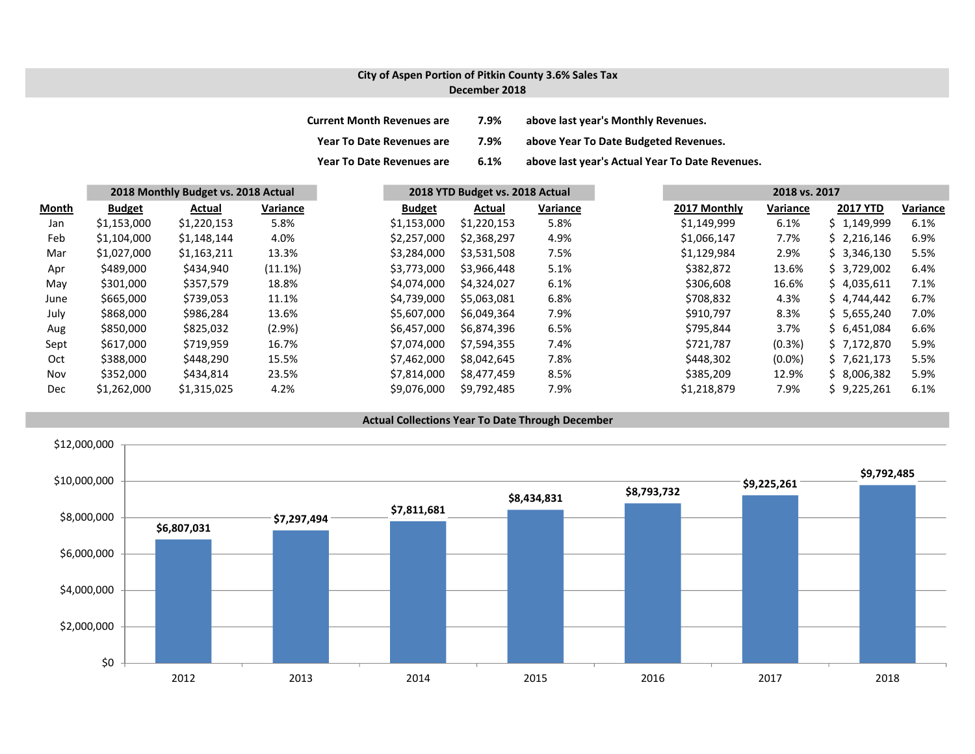#### City of Aspen Portion of Pitkin County 3.6% Sales Tax December 2018

| <b>Current Month Revenues are</b> | 7.9% | above last year's Monthly Revenues.             |
|-----------------------------------|------|-------------------------------------------------|
| Year To Date Revenues are         | 7.9% | above Year To Date Budgeted Revenues.           |
| <b>Year To Date Revenues are</b>  | 6.1% | above last year's Actual Year To Date Revenues. |

|       | 2018 Monthly Budget vs. 2018 Actual |             |           |               | 2018 YTD Budget vs. 2018 Actual |          |  |              | 2018 vs. 2017 |                 |          |  |
|-------|-------------------------------------|-------------|-----------|---------------|---------------------------------|----------|--|--------------|---------------|-----------------|----------|--|
| Month | <b>Budget</b>                       | Actual      | Variance  | <b>Budget</b> | Actual                          | Variance |  | 2017 Monthly | Variance      | <b>2017 YTD</b> | Variance |  |
| Jan   | \$1,153,000                         | \$1,220,153 | 5.8%      | \$1,153,000   | \$1,220,153                     | 5.8%     |  | \$1,149,999  | 6.1%          | \$1,149,999     |          |  |
| Feb   | \$1,104,000                         | \$1,148,144 | 4.0%      | \$2,257,000   | \$2,368,297                     | 4.9%     |  | \$1,066,147  | 7.7%          | \$2,216,146     |          |  |
| Mar   | \$1,027,000                         | \$1,163,211 | 13.3%     | \$3,284,000   | \$3,531,508                     | 7.5%     |  | \$1,129,984  | 2.9%          | \$3,346,130     |          |  |
| Apr   | \$489,000                           | \$434,940   | (11.1%)   | \$3,773,000   | \$3,966,448                     | 5.1%     |  | \$382,872    | 13.6%         | \$3,729,002     |          |  |
| May   | \$301,000                           | \$357,579   | 18.8%     | \$4,074,000   | \$4,324,027                     | 6.1%     |  | \$306,608    | 16.6%         | \$4,035,611     |          |  |
| June  | \$665,000                           | \$739,053   | 11.1%     | \$4,739,000   | \$5,063,081                     | 6.8%     |  | \$708,832    | 4.3%          | \$4,744,442     |          |  |
| July  | \$868,000                           | \$986,284   | 13.6%     | \$5,607,000   | \$6,049,364                     | 7.9%     |  | \$910,797    | 8.3%          | \$5,655,240     |          |  |
| Aug   | \$850,000                           | \$825,032   | $(2.9\%)$ | \$6,457,000   | \$6,874,396                     | 6.5%     |  | \$795.844    | 3.7%          | \$6.451.084     |          |  |
| Sept  | \$617,000                           | \$719,959   | 16.7%     | \$7,074,000   | \$7,594,355                     | 7.4%     |  | \$721,787    | $(0.3\%)$     | \$7,172,870     |          |  |
| Oct   | \$388,000                           | \$448,290   | 15.5%     | \$7,462,000   | \$8,042,645                     | 7.8%     |  | \$448,302    | $(0.0\%)$     | \$7,621,173     |          |  |
| Nov   | \$352,000                           | \$434.814   | 23.5%     | \$7,814,000   | \$8,477,459                     | 8.5%     |  | \$385.209    | 12.9%         | \$8.006.382     |          |  |
| Dec   | \$1,262,000                         | \$1,315,025 | 4.2%      | \$9,076,000   | \$9,792,485                     | 7.9%     |  | \$1,218,879  | 7.9%          | \$9,225,261     |          |  |

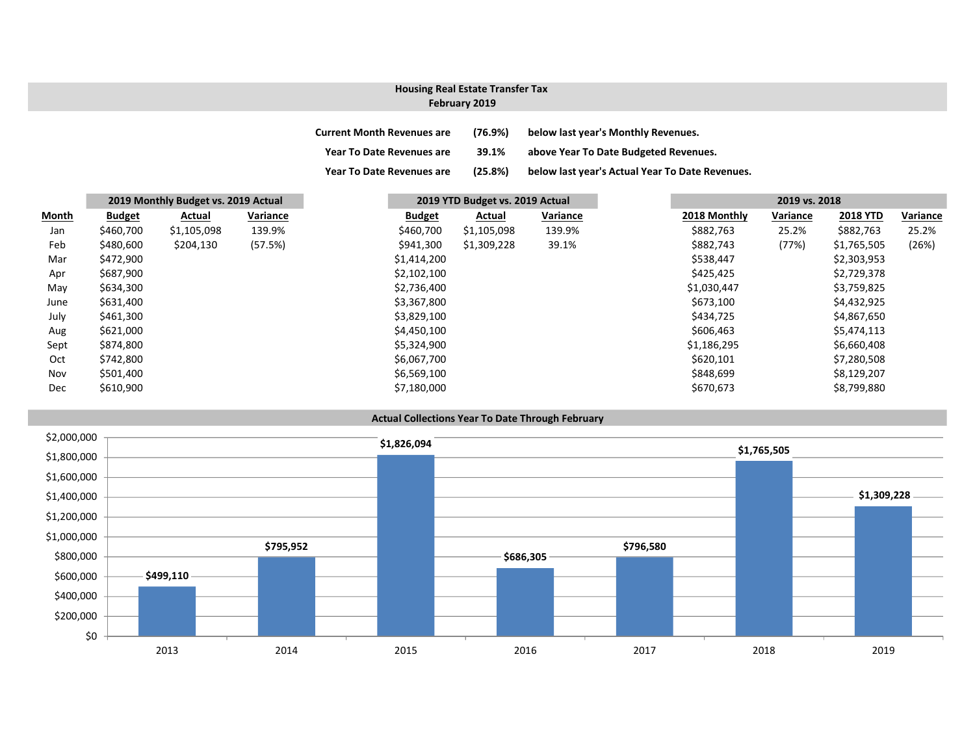## Housing Real Estate Transfer Tax

#### February 2019

| <b>Current Month Revenues are</b> | $(76.9\%)$ | below last year's Monthly Revenues.             |
|-----------------------------------|------------|-------------------------------------------------|
| <b>Year To Date Revenues are</b>  | 39.1%      | above Year To Date Budgeted Revenues.           |
| <b>Year To Date Revenues are</b>  | (25.8%)    | below last year's Actual Year To Date Revenues. |

|              | 2019 Monthly Budget vs. 2019 Actual |             |          |               | 2019 YTD Budget vs. 2019 Actual |          |  | 2019 vs. 2018 |          |                 |          |
|--------------|-------------------------------------|-------------|----------|---------------|---------------------------------|----------|--|---------------|----------|-----------------|----------|
| <b>Month</b> | <b>Budget</b>                       | Actual      | Variance | <b>Budget</b> | Actual                          | Variance |  | 2018 Monthly  | Variance | <b>2018 YTD</b> | Variance |
| Jan          | \$460,700                           | \$1,105,098 | 139.9%   | \$460,700     | \$1,105,098                     | 139.9%   |  | \$882,763     | 25.2%    | \$882,763       | 25.2%    |
| Feb          | \$480,600                           | \$204,130   | (57.5%)  | \$941,300     | \$1,309,228                     | 39.1%    |  | \$882,743     | (77%)    | \$1,765,505     | (26%)    |
| Mar          | \$472,900                           |             |          | \$1,414,200   |                                 |          |  | \$538,447     |          | \$2,303,953     |          |
| Apr          | \$687,900                           |             |          | \$2,102,100   |                                 |          |  | \$425,425     |          | \$2,729,378     |          |
| May          | \$634,300                           |             |          | \$2,736,400   |                                 |          |  | \$1,030,447   |          | \$3,759,825     |          |
| June         | \$631,400                           |             |          | \$3,367,800   |                                 |          |  | \$673,100     |          | \$4,432,925     |          |
| July         | \$461,300                           |             |          | \$3,829,100   |                                 |          |  | \$434,725     |          | \$4,867,650     |          |
| Aug          | \$621,000                           |             |          | \$4,450,100   |                                 |          |  | \$606,463     |          | \$5,474,113     |          |
| Sept         | \$874,800                           |             |          | \$5,324,900   |                                 |          |  | \$1,186,295   |          | \$6,660,408     |          |
| Oct          | \$742,800                           |             |          | \$6,067,700   |                                 |          |  | \$620,101     |          | \$7,280,508     |          |
| Nov          | \$501,400                           |             |          | \$6,569,100   |                                 |          |  | \$848,699     |          | \$8,129,207     |          |
| Dec          | \$610,900                           |             |          | \$7,180,000   |                                 |          |  | \$670,673     |          | \$8,799,880     |          |

#### Actual Collections Year To Date Through February